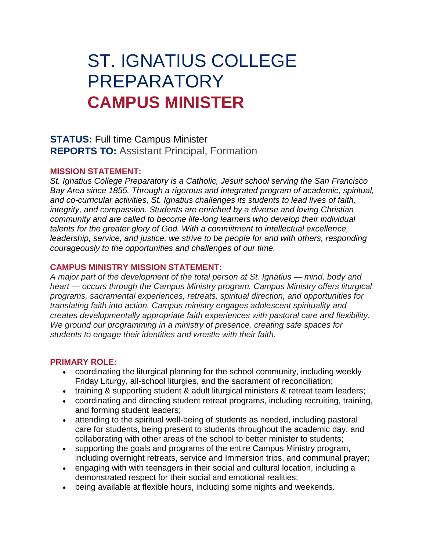# ST. IGNATIUS COLLEGE PREPARATORY **CAMPUS MINISTER**

## **STATUS:** Full time Campus Minister **REPORTS TO:** Assistant Principal, Formation

#### **MISSION STATEMENT:**

*St. Ignatius College Preparatory is a Catholic, Jesuit school serving the San Francisco Bay Area since 1855. Through a rigorous and integrated program of academic, spiritual, and co-curricular activities, St. Ignatius challenges its students to lead lives of faith, integrity, and compassion. Students are enriched by a diverse and loving Christian community and are called to become life-long learners who develop their individual talents for the greater glory of God. With a commitment to intellectual excellence, leadership, service, and justice, we strive to be people for and with others, responding courageously to the opportunities and challenges of our time.*

#### **CAMPUS MINISTRY MISSION STATEMENT:**

*A major part of the development of the total person at St. Ignatius — mind, body and heart — occurs through the Campus Ministry program. Campus Ministry offers liturgical programs, sacramental experiences, retreats, spiritual direction, and opportunities for translating faith into action. Campus ministry engages adolescent spirituality and creates developmentally appropriate faith experiences with pastoral care and flexibility. We ground our programming in a ministry of presence, creating safe spaces for students to engage their identities and wrestle with their faith.*

#### **PRIMARY ROLE:**

- coordinating the liturgical planning for the school community, including weekly Friday Liturgy, all-school liturgies, and the sacrament of reconciliation;
- training & supporting student & adult liturgical ministers & retreat team leaders;
- coordinating and directing student retreat programs, including recruiting, training, and forming student leaders;
- attending to the spiritual well-being of students as needed, including pastoral care for students, being present to students throughout the academic day, and collaborating with other areas of the school to better minister to students;
- supporting the goals and programs of the entire Campus Ministry program, including overnight retreats, service and Immersion trips, and communal prayer;
- engaging with with teenagers in their social and cultural location, including a demonstrated respect for their social and emotional realities;
- being available at flexible hours, including some nights and weekends.